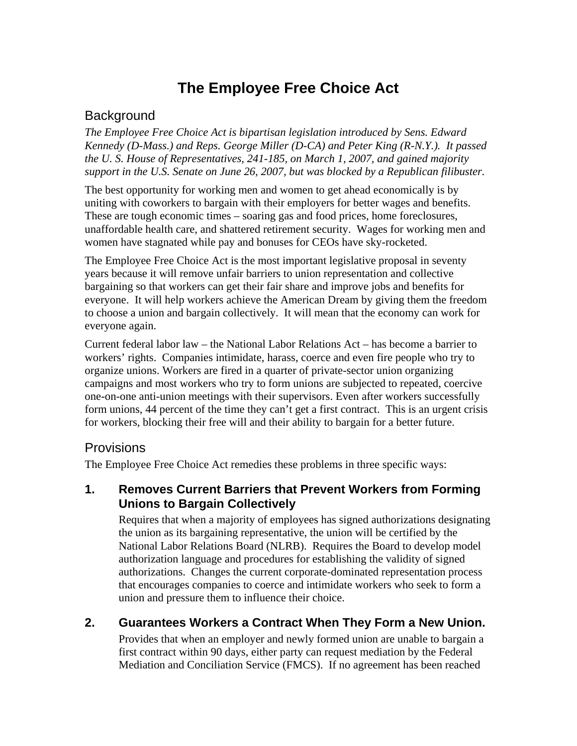# **The Employee Free Choice Act**

# **Background**

*The Employee Free Choice Act is bipartisan legislation introduced by Sens. Edward Kennedy (D-Mass.) and Reps. George Miller (D-CA) and Peter King (R-N.Y.). It passed the U. S. House of Representatives, 241-185, on March 1, 2007, and gained majority support in the U.S. Senate on June 26, 2007, but was blocked by a Republican filibuster.* 

The best opportunity for working men and women to get ahead economically is by uniting with coworkers to bargain with their employers for better wages and benefits. These are tough economic times – soaring gas and food prices, home foreclosures, unaffordable health care, and shattered retirement security. Wages for working men and women have stagnated while pay and bonuses for CEOs have sky-rocketed.

The Employee Free Choice Act is the most important legislative proposal in seventy years because it will remove unfair barriers to union representation and collective bargaining so that workers can get their fair share and improve jobs and benefits for everyone. It will help workers achieve the American Dream by giving them the freedom to choose a union and bargain collectively. It will mean that the economy can work for everyone again.

Current federal labor law – the National Labor Relations Act – has become a barrier to workers' rights. Companies intimidate, harass, coerce and even fire people who try to organize unions. Workers are fired in a quarter of private-sector union organizing campaigns and most workers who try to form unions are subjected to repeated, coercive one-on-one anti-union meetings with their supervisors. Even after workers successfully form unions, 44 percent of the time they can't get a first contract. This is an urgent crisis for workers, blocking their free will and their ability to bargain for a better future.

#### Provisions

The Employee Free Choice Act remedies these problems in three specific ways:

#### **1. Removes Current Barriers that Prevent Workers from Forming Unions to Bargain Collectively**

Requires that when a majority of employees has signed authorizations designating the union as its bargaining representative, the union will be certified by the National Labor Relations Board (NLRB). Requires the Board to develop model authorization language and procedures for establishing the validity of signed authorizations. Changes the current corporate-dominated representation process that encourages companies to coerce and intimidate workers who seek to form a union and pressure them to influence their choice.

## **2. Guarantees Workers a Contract When They Form a New Union.**

Provides that when an employer and newly formed union are unable to bargain a first contract within 90 days, either party can request mediation by the Federal Mediation and Conciliation Service (FMCS). If no agreement has been reached